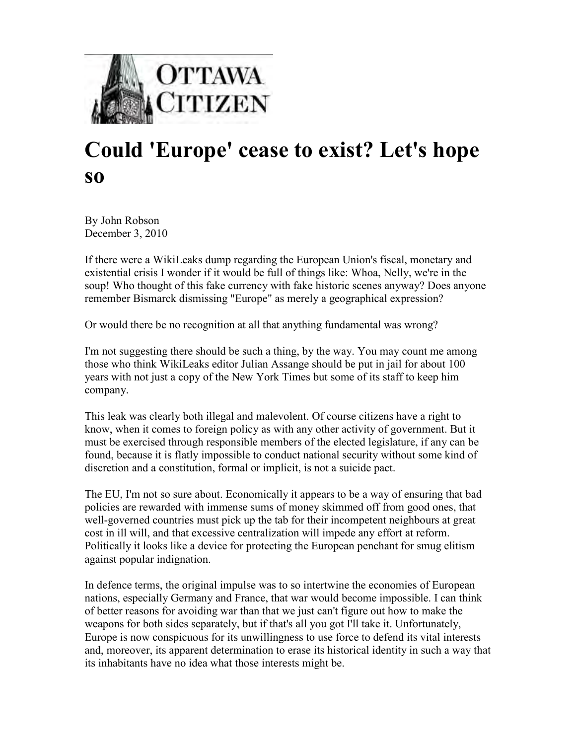

## **Could 'Europe' cease to exist? Let's hope so**

By John Robson December 3, 2010

If there were a WikiLeaks dump regarding the European Union's fiscal, monetary and existential crisis I wonder if it would be full of things like: Whoa, Nelly, we're in the soup! Who thought of this fake currency with fake historic scenes anyway? Does anyone remember Bismarck dismissing "Europe" as merely a geographical expression?

Or would there be no recognition at all that anything fundamental was wrong?

I'm not suggesting there should be such a thing, by the way. You may count me among those who think WikiLeaks editor Julian Assange should be put in jail for about 100 years with not just a copy of the New York Times but some of its staff to keep him company.

This leak was clearly both illegal and malevolent. Of course citizens have a right to know, when it comes to foreign policy as with any other activity of government. But it must be exercised through responsible members of the elected legislature, if any can be found, because it is flatly impossible to conduct national security without some kind of discretion and a constitution, formal or implicit, is not a suicide pact.

The EU, I'm not so sure about. Economically it appears to be a way of ensuring that bad policies are rewarded with immense sums of money skimmed off from good ones, that well-governed countries must pick up the tab for their incompetent neighbours at great cost in ill will, and that excessive centralization will impede any effort at reform. Politically it looks like a device for protecting the European penchant for smug elitism against popular indignation.

In defence terms, the original impulse was to so intertwine the economies of European nations, especially Germany and France, that war would become impossible. I can think of better reasons for avoiding war than that we just can't figure out how to make the weapons for both sides separately, but if that's all you got I'll take it. Unfortunately, Europe is now conspicuous for its unwillingness to use force to defend its vital interests and, moreover, its apparent determination to erase its historical identity in such a way that its inhabitants have no idea what those interests might be.